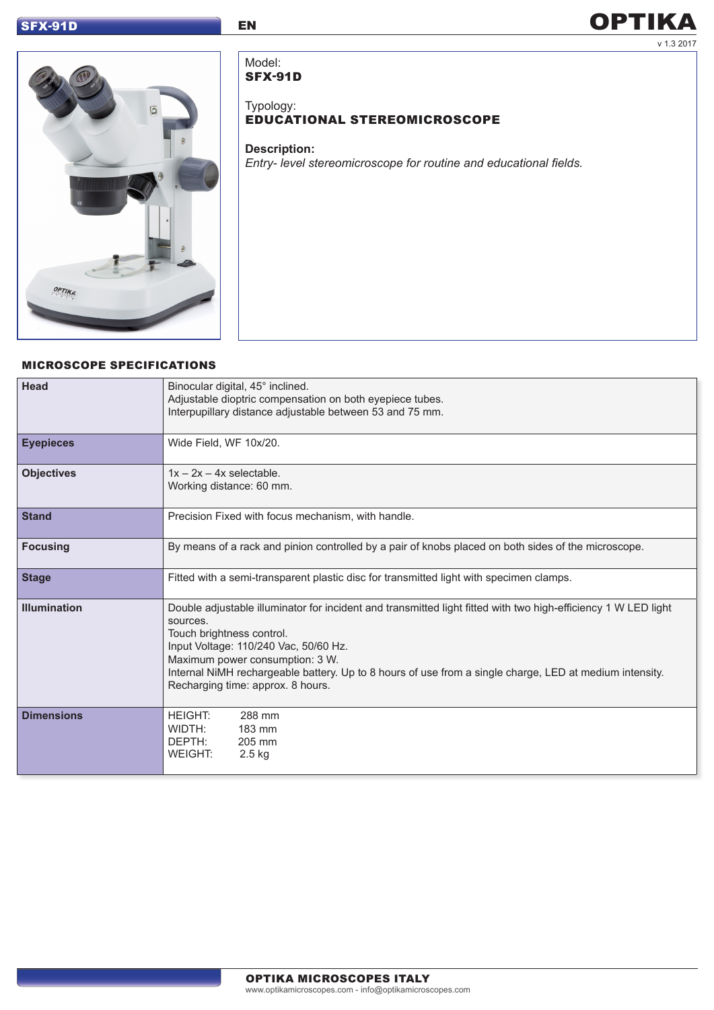# SFX-91D EN

# v 1.3 2017 **OPTIKA**



Model: SFX-91D

Typology:

# EDUCATIONAL STEREOMICROSCOPE

#### **Description:**

*Entry- level stereomicroscope for routine and educational fields.*

# MICROSCOPE SPECIFICATIONS

| Head                | Binocular digital, 45° inclined.<br>Adjustable dioptric compensation on both eyepiece tubes.<br>Interpupillary distance adjustable between 53 and 75 mm.                                                                                                                                                                                                                            |  |
|---------------------|-------------------------------------------------------------------------------------------------------------------------------------------------------------------------------------------------------------------------------------------------------------------------------------------------------------------------------------------------------------------------------------|--|
| <b>Eyepieces</b>    | Wide Field, WF 10x/20.                                                                                                                                                                                                                                                                                                                                                              |  |
| <b>Objectives</b>   | $1x - 2x - 4x$ selectable.<br>Working distance: 60 mm.                                                                                                                                                                                                                                                                                                                              |  |
| <b>Stand</b>        | Precision Fixed with focus mechanism, with handle.                                                                                                                                                                                                                                                                                                                                  |  |
| <b>Focusing</b>     | By means of a rack and pinion controlled by a pair of knobs placed on both sides of the microscope.                                                                                                                                                                                                                                                                                 |  |
| <b>Stage</b>        | Fitted with a semi-transparent plastic disc for transmitted light with specimen clamps.                                                                                                                                                                                                                                                                                             |  |
| <b>Illumination</b> | Double adjustable illuminator for incident and transmitted light fitted with two high-efficiency 1 W LED light<br>sources.<br>Touch brightness control.<br>Input Voltage: 110/240 Vac, 50/60 Hz.<br>Maximum power consumption: 3 W.<br>Internal NiMH rechargeable battery. Up to 8 hours of use from a single charge, LED at medium intensity.<br>Recharging time: approx. 8 hours. |  |
| <b>Dimensions</b>   | <b>HEIGHT:</b><br>288 mm<br>WIDTH:<br>183 mm<br>DEPTH:<br>205 mm<br><b>WEIGHT:</b><br>2.5 kg                                                                                                                                                                                                                                                                                        |  |